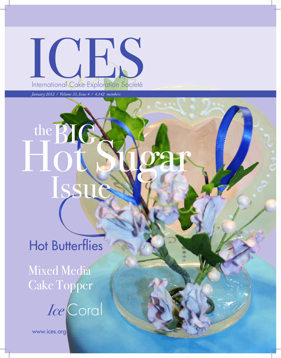ICIES International Cake Exploration Societé

Hot Sugar

*January 2012 / Volume 33, Issue 4 / 4,142 members*

the BIG

# **Hot Butterflies**

Mixed Media Cake Topper

*Ice* Coral

www.ices.org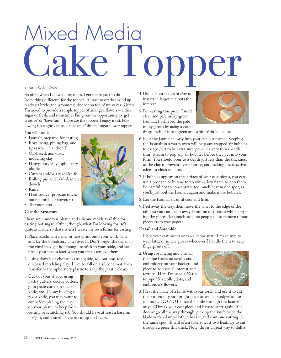# Mixed Media 'ake To

### B. Keith Ryder, *CMSA*

So often when I do wedding cakes, I get the request to do "something different" for the topper. Almost never do I wind up placing a bride-and-groom figurine set on top of my cakes. Often I'm asked to provide a simple topper of arranged flowers – either sugar or fresh, and sometimes I'm given the opportunity to "get creative" or "have fun". Those are the toppers I enjoy most. Following is a slightly upscale take on a "simple" sugar flower topper.

You will need:

- Isomalt, prepared for casting Royal icing, piping bag, and
- tips (size 1.5 and/or 2)
- Oil-based, non-toxic modeling clay
- Heavy-duty vinyl upholstery plastic
- Cutters and/or a razor knife
- Rolling pin and 1/4"-diameter dowels
- Knife
- Heat source (propane torch, butane torch, or stovetop)
- Thermometer

# **Cast the Structure**

There are numerous plastic and silicone molds available for casting hot sugar. Often, though, what I'm looking for isn't quite available, so that's when I create my own forms for casting.

- 1.Place parchment paper or newsprint onto your work table, and lay the upholstery vinyl over it. Don't forget the paper, or the vinyl may get hot enough to stick to your table, and you'll break your pieces later when you try to remove them.
- 2.Using dowels or chopsticks as a guide, roll out non-toxic oil-based modeling clay. I like to roll on a silicone mat, then transfer to the upholstery plastic to keep the plastic clean.
- 3.Cut out your shapes using pastry cutters, cookie cutters, gum paste cutters, a razor knife, etc. (Note: if using a razor knife, you may want to cut before placing the clay on your plastic to keep from



cutting or scratching it). You should have at least a base, an upright, and a small circle to cut up for braces.

- 4.Use cut-out pieces of clay as inserts in larger cut-outs for interest.
- 5.For casting this piece, I used clear and pale milky-green Isomalt. I achieved the pale milky-green by using a couple



drops each of forest green and white airbrush color.

- 6.Pour the Isomalt slowly into your cut-out forms. Keeping the Isomalt in a warm oven will help any trapped air bubbles to escape, but to be extra sure, pour in a very thin (needlethin) stream to pop any air bubbles before they get into your form. You should pour to a depth just less than the thickness of the clay to prevent over-pouring and making unattractive edges to clean up later.
- 7.If bubbles appear on the surface of your cast pieces, you can use a propane or butane torch with a low flame to pop them. Be careful not to concentrate too much heat in one spot, as you'll just boil the Isomalt again and make more bubbles.
- 8.Let the Isomalt sit until cool and firm.
- 9.Peel away the clay, then move the vinyl to the edge of the table so you can flex it away from the cast pieces while keeping the pieces flat (much as some people do to remove runout pieces from wax paper).

### **Detail and Assemble**

- 1.Place your cast pieces onto a silicone mat. I make sure to wear latex or nitrile gloves whenever I handle them to keep fingerprints off.
- 2.Using royal icing and a small tip, pipe freehand scrolls and embroidery on your background piece to add visual interest and texture. Here I've used a #2 tip to pipe "S" scrolls , dots, and embroidery flowers.



3. Heat the blade of a knife with your torch and use it to cut the bottom of your upright piece as well as wedges to use as braces. DO NOT force the knife through the Isomalt or you'll break your cast piece and have to start again. If it doesn't go all the way through, pick up the knife, wipe the blade with a damp cloth, reheat it, and continue cutting in the same spot. It will often take at least two heatings to cut through a piece this thick. Note: this is a great way to dull a